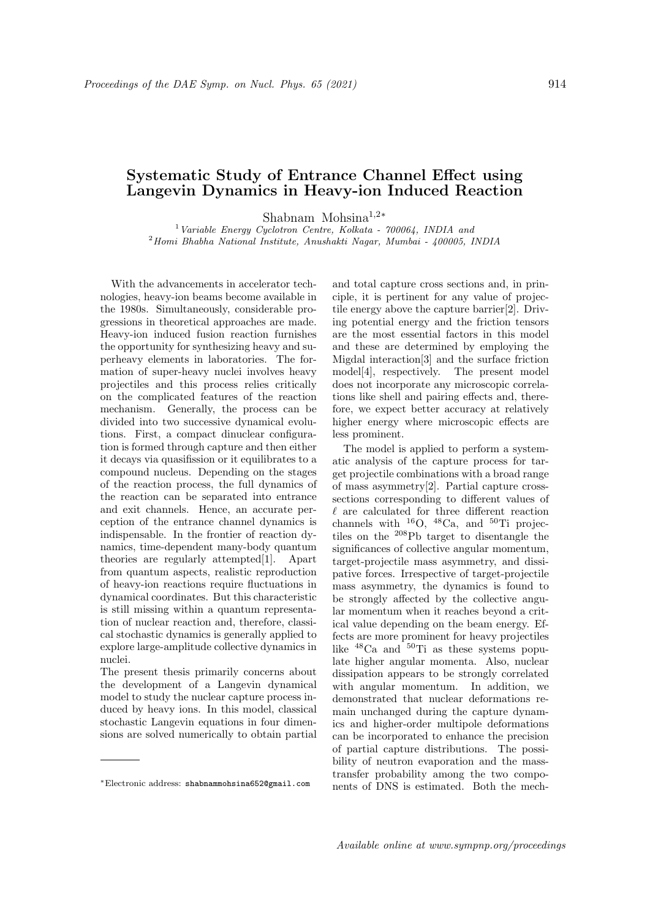## Systematic Study of Entrance Channel Effect using Langevin Dynamics in Heavy-ion Induced Reaction

Shabnam Mohsina<sup>1</sup>,2<sup>∗</sup>

<sup>1</sup> Variable Energy Cyclotron Centre, Kolkata -  $700064$ , INDIA and <sup>2</sup>Homi Bhabha National Institute, Anushakti Nagar, Mumbai - 400005, INDIA

With the advancements in accelerator technologies, heavy-ion beams become available in the 1980s. Simultaneously, considerable progressions in theoretical approaches are made. Heavy-ion induced fusion reaction furnishes the opportunity for synthesizing heavy and superheavy elements in laboratories. The formation of super-heavy nuclei involves heavy projectiles and this process relies critically on the complicated features of the reaction mechanism. Generally, the process can be divided into two successive dynamical evolutions. First, a compact dinuclear configuration is formed through capture and then either it decays via quasifission or it equilibrates to a compound nucleus. Depending on the stages of the reaction process, the full dynamics of the reaction can be separated into entrance and exit channels. Hence, an accurate perception of the entrance channel dynamics is indispensable. In the frontier of reaction dynamics, time-dependent many-body quantum theories are regularly attempted[1]. Apart from quantum aspects, realistic reproduction of heavy-ion reactions require fluctuations in dynamical coordinates. But this characteristic is still missing within a quantum representation of nuclear reaction and, therefore, classical stochastic dynamics is generally applied to explore large-amplitude collective dynamics in nuclei.

The present thesis primarily concerns about the development of a Langevin dynamical model to study the nuclear capture process induced by heavy ions. In this model, classical stochastic Langevin equations in four dimensions are solved numerically to obtain partial and total capture cross sections and, in principle, it is pertinent for any value of projectile energy above the capture barrier[2]. Driving potential energy and the friction tensors are the most essential factors in this model and these are determined by employing the Migdal interaction[3] and the surface friction model[4], respectively. The present model does not incorporate any microscopic correlations like shell and pairing effects and, therefore, we expect better accuracy at relatively higher energy where microscopic effects are less prominent.

The model is applied to perform a systematic analysis of the capture process for target projectile combinations with a broad range of mass asymmetry[2]. Partial capture crosssections corresponding to different values of  $\ell$  are calculated for three different reaction channels with  $^{16}O$ ,  $^{48}Ca$ , and  $^{50}Ti$  projectiles on the <sup>208</sup>Pb target to disentangle the significances of collective angular momentum, target-projectile mass asymmetry, and dissipative forces. Irrespective of target-projectile mass asymmetry, the dynamics is found to be strongly affected by the collective angular momentum when it reaches beyond a critical value depending on the beam energy. Effects are more prominent for heavy projectiles like <sup>48</sup>Ca and <sup>50</sup>Ti as these systems populate higher angular momenta. Also, nuclear dissipation appears to be strongly correlated with angular momentum. In addition, we demonstrated that nuclear deformations remain unchanged during the capture dynamics and higher-order multipole deformations can be incorporated to enhance the precision of partial capture distributions. The possibility of neutron evaporation and the masstransfer probability among the two components of DNS is estimated. Both the mech-

<sup>∗</sup>Electronic address: shabnammohsina652@gmail.com